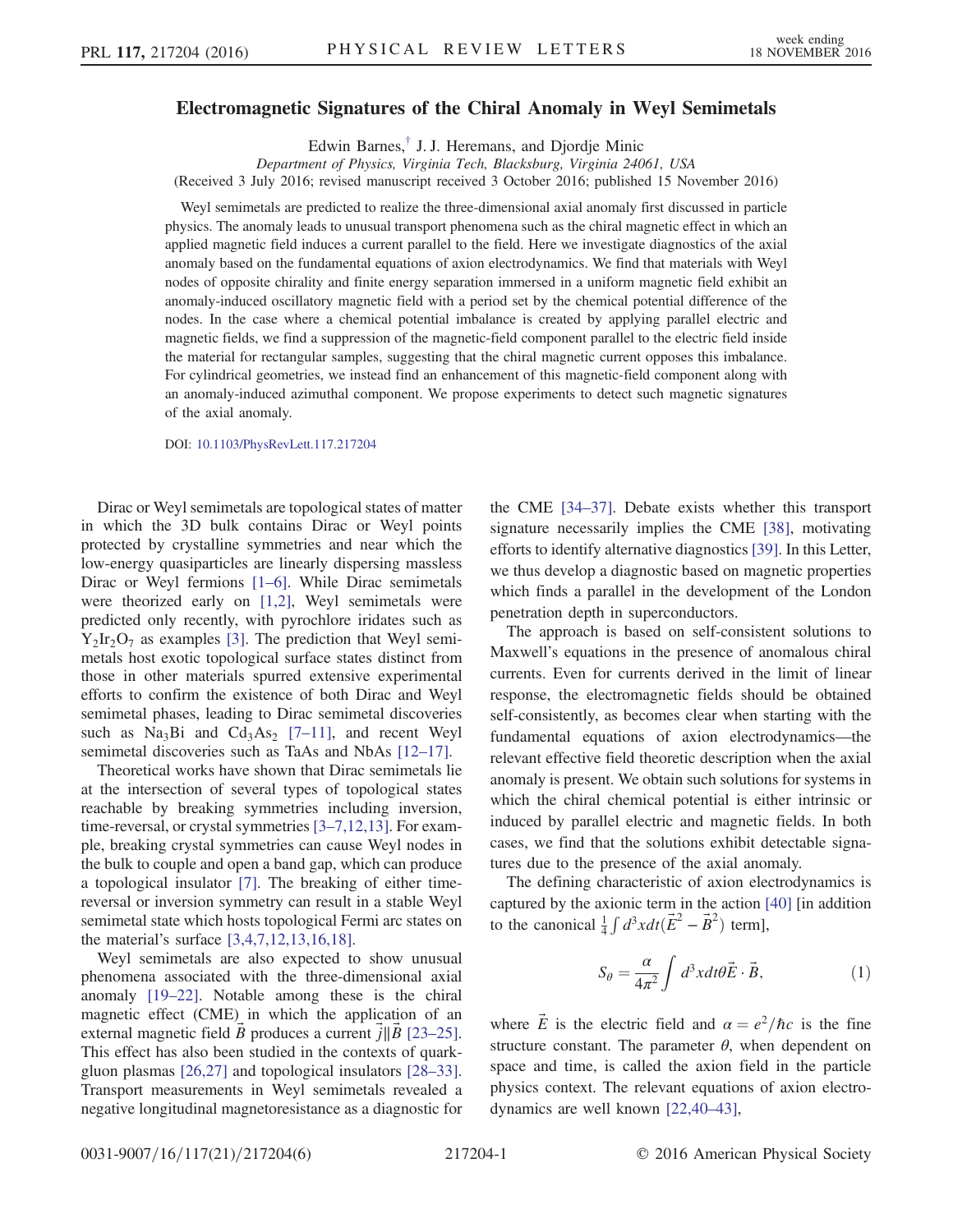## Electromagnetic Signatures of the Chiral Anomaly in Weyl Semimetals

Edwin Barnes,[†](#page-4-0) J. J. Heremans, and Djordje Minic

<span id="page-0-1"></span>Department of Physics, Virginia Tech, Blacksburg, Virginia 24061, USA (Received 3 July 2016; revised manuscript received 3 October 2016; published 15 November 2016)

Weyl semimetals are predicted to realize the three-dimensional axial anomaly first discussed in particle physics. The anomaly leads to unusual transport phenomena such as the chiral magnetic effect in which an applied magnetic field induces a current parallel to the field. Here we investigate diagnostics of the axial anomaly based on the fundamental equations of axion electrodynamics. We find that materials with Weyl nodes of opposite chirality and finite energy separation immersed in a uniform magnetic field exhibit an anomaly-induced oscillatory magnetic field with a period set by the chemical potential difference of the nodes. In the case where a chemical potential imbalance is created by applying parallel electric and magnetic fields, we find a suppression of the magnetic-field component parallel to the electric field inside the material for rectangular samples, suggesting that the chiral magnetic current opposes this imbalance. For cylindrical geometries, we instead find an enhancement of this magnetic-field component along with an anomaly-induced azimuthal component. We propose experiments to detect such magnetic signatures of the axial anomaly.

DOI: [10.1103/PhysRevLett.117.217204](http://dx.doi.org/10.1103/PhysRevLett.117.217204)

Dirac or Weyl semimetals are topological states of matter in which the 3D bulk contains Dirac or Weyl points protected by crystalline symmetries and near which the low-energy quasiparticles are linearly dispersing massless Dirac or Weyl fermions [1–[6\].](#page-4-1) While Dirac semimetals were theorized early on [\[1,2\]](#page-4-1), Weyl semimetals were predicted only recently, with pyrochlore iridates such as  $Y_2Ir_2O_7$  as examples [\[3\]](#page-4-2). The prediction that Weyl semimetals host exotic topological surface states distinct from those in other materials spurred extensive experimental efforts to confirm the existence of both Dirac and Weyl semimetal phases, leading to Dirac semimetal discoveries such as  $Na<sub>3</sub>Bi$  and  $Cd<sub>3</sub>As<sub>2</sub>$  [7–[11\]](#page-4-3), and recent Weyl semimetal discoveries such as TaAs and NbAs [\[12](#page-4-4)–17].

Theoretical works have shown that Dirac semimetals lie at the intersection of several types of topological states reachable by breaking symmetries including inversion, time-reversal, or crystal symmetries [3–[7,12,13\].](#page-4-2) For example, breaking crystal symmetries can cause Weyl nodes in the bulk to couple and open a band gap, which can produce a topological insulator [\[7\]](#page-4-3). The breaking of either timereversal or inversion symmetry can result in a stable Weyl semimetal state which hosts topological Fermi arc states on the material's surface [\[3,4,7,12,13,16,18\]](#page-4-2).

Weyl semimetals are also expected to show unusual phenomena associated with the three-dimensional axial anomaly [19–[22\].](#page-4-5) Notable among these is the chiral magnetic effect (CME) in which the application of an external magnetic field B produces a current  $j||B|$  [\[23](#page-4-6)–25]. This effect has also been studied in the contexts of quarkgluon plasmas [\[26,27\]](#page-4-7) and topological insulators [\[28](#page-4-8)–33]. Transport measurements in Weyl semimetals revealed a negative longitudinal magnetoresistance as a diagnostic for the CME [34–[37\].](#page-4-9) Debate exists whether this transport signature necessarily implies the CME [\[38\],](#page-4-10) motivating efforts to identify alternative diagnostics [\[39\]](#page-4-11). In this Letter, we thus develop a diagnostic based on magnetic properties which finds a parallel in the development of the London penetration depth in superconductors.

The approach is based on self-consistent solutions to Maxwell's equations in the presence of anomalous chiral currents. Even for currents derived in the limit of linear response, the electromagnetic fields should be obtained self-consistently, as becomes clear when starting with the fundamental equations of axion electrodynamics—the relevant effective field theoretic description when the axial anomaly is present. We obtain such solutions for systems in which the chiral chemical potential is either intrinsic or induced by parallel electric and magnetic fields. In both cases, we find that the solutions exhibit detectable signatures due to the presence of the axial anomaly.

The defining characteristic of axion electrodynamics is captured by the axionic term in the action [\[40\]](#page-4-12) [in addition to the canonical  $\frac{1}{4} \int d^3x dt (\vec{E}^2 - \vec{B}^2)$  term],

$$
S_{\theta} = \frac{\alpha}{4\pi^2} \int d^3x dt \theta \vec{E} \cdot \vec{B}, \qquad (1)
$$

<span id="page-0-0"></span>where  $\vec{E}$  is the electric field and  $\alpha = e^2/\hbar c$  is the fine structure constant. The parameter  $\theta$ , when dependent on space and time, is called the axion field in the particle physics context. The relevant equations of axion electrodynamics are well known [\[22,40](#page-4-13)–43],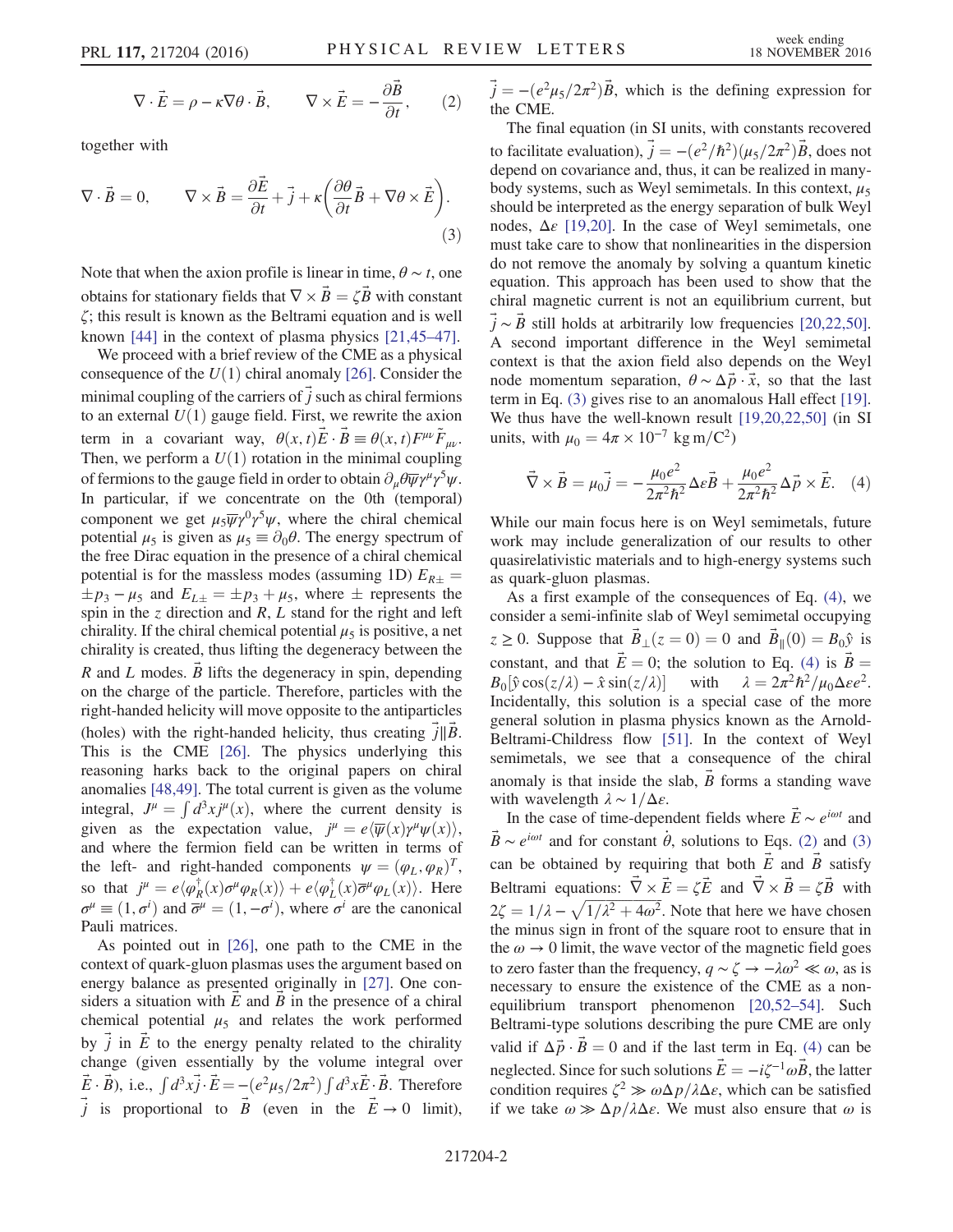$$
\nabla \cdot \vec{E} = \rho - \kappa \nabla \theta \cdot \vec{B}, \qquad \nabla \times \vec{E} = -\frac{\partial \vec{B}}{\partial t}, \qquad (2)
$$

<span id="page-1-0"></span>together with

$$
\nabla \cdot \vec{B} = 0, \qquad \nabla \times \vec{B} = \frac{\partial \vec{E}}{\partial t} + \vec{j} + \kappa \left( \frac{\partial \theta}{\partial t} \vec{B} + \nabla \theta \times \vec{E} \right).
$$
\n(3)

Note that when the axion profile is linear in time,  $\theta \sim t$ , one obtains for stationary fields that  $\nabla \times \vec{B} = \zeta \vec{B}$  with constant ζ; this result is known as the Beltrami equation and is well known [\[44\]](#page-4-14) in the context of plasma physics [\[21,45](#page-4-15)–47].

We proceed with a brief review of the CME as a physical consequence of the  $U(1)$  chiral anomaly [\[26\]](#page-4-7). Consider the minimal coupling of the carriers of  $\vec{j}$  such as chiral fermions to an external  $U(1)$  gauge field. First, we rewrite the axion term in a covariant way,  $\theta(x, t)\vec{E} \cdot \vec{B} = \theta(x, t)F^{\mu\nu}\tilde{F}_{\mu\nu}$ . Then, we perform a  $U(1)$  rotation in the minimal coupling of fermions to the gauge field in order to obtain  $\partial_{\mu}\theta\overline{\psi}\gamma^{\mu}\gamma^5\psi$ . In particular, if we concentrate on the 0th (temporal) component we get  $\mu_5 \overline{\psi} \gamma^0 \gamma^5 \psi$ , where the chiral chemical potential  $\mu_5$  is given as  $\mu_5 \equiv \partial_0 \theta$ . The energy spectrum of the free Dirac equation in the presence of a chiral chemical potential is for the massless modes (assuming 1D)  $E_{R\pm}$  =  $\pm p_3 - \mu_5$  and  $E_{L\pm} = \pm p_3 + \mu_5$ , where  $\pm$  represents the spin in the z direction and  $R$ ,  $L$  stand for the right and left chirality. If the chiral chemical potential  $\mu_5$  is positive, a net chirality is created, thus lifting the degeneracy between the R and L modes. B lifts the degeneracy in spin, depending on the charge of the particle. Therefore, particles with the right-handed helicity will move opposite to the antiparticles (holes) with the right-handed helicity, thus creating  $j||B$ . This is the CME [\[26\]](#page-4-7). The physics underlying this reasoning harks back to the original papers on chiral anomalies [\[48,49\]](#page-5-0). The total current is given as the volume integral,  $J^{\mu} = \int d^3x j^{\mu}(x)$ , where the current density is given as the expectation value,  $j^{\mu} = e \langle \overline{\psi}(x) \gamma^{\mu} \psi(x) \rangle$ , and where the fermion field can be written in terms of the left- and right-handed components  $\psi = (\varphi_L, \varphi_R)^T$ , so that  $j^{\mu} = e \langle \varphi_R^{\dagger}(x) \sigma^{\mu} \varphi_R(x) \rangle + e \langle \varphi_L^{\dagger}(x) \overline{\sigma}^{\mu} \varphi_L(x) \rangle$ . Here  $\sigma^{\mu} \equiv (1, \sigma^i)$  and  $\overline{\sigma}^{\mu} = (1, -\sigma^i)$ , where  $\sigma^i$  are the canonical Pauli matrices.

As pointed out in [\[26\]](#page-4-7), one path to the CME in the context of quark-gluon plasmas uses the argument based on energy balance as presented originally in [\[27\]](#page-4-16). One considers a situation with  $E$  and  $B$  in the presence of a chiral chemical potential  $\mu_5$  and relates the work performed by  $j$  in  $E$  to the energy penalty related to the chirality change (given essentially by the volume integral over  $(\vec{E} \cdot \vec{B})$ , i.e.,  $\int d^3x \vec{j} \cdot \vec{E} = -(e^2\mu_5/2\pi^2) \int d^3x \vec{E} \cdot \vec{B}$ . Therefore  $\vec{j}$  is proportional to  $\vec{B}$  (even in the  $\vec{E} \rightarrow 0$  limit),  $\vec{j} = -\left(e^2\mu_5/2\pi^2\right)\vec{B}$ , which is the defining expression for the CME.

The final equation (in SI units, with constants recovered to facilitate evaluation),  $\vec{j} = -(e^2/\hbar^2)(\mu_5/2\pi^2)\vec{B}$ , does not depend on covariance and, thus, it can be realized in manybody systems, such as Weyl semimetals. In this context,  $\mu_5$ should be interpreted as the energy separation of bulk Weyl nodes,  $\Delta \varepsilon$  [\[19,20\]](#page-4-5). In the case of Weyl semimetals, one must take care to show that nonlinearities in the dispersion do not remove the anomaly by solving a quantum kinetic equation. This approach has been used to show that the chiral magnetic current is not an equilibrium current, but  $j \sim B$  still holds at arbitrarily low frequencies [\[20,22,50\]](#page-4-17). A second important difference in the Weyl semimetal context is that the axion field also depends on the Weyl node momentum separation,  $\theta \sim \Delta \vec{p} \cdot \vec{x}$ , so that the last term in Eq. [\(3\)](#page-1-0) gives rise to an anomalous Hall effect [\[19\]](#page-4-5). We thus have the well-known result [\[19,20,22,50\]](#page-4-5) (in SI units, with  $\mu_0 = 4\pi \times 10^{-7}$  kg m/C<sup>2</sup>)

<span id="page-1-1"></span>
$$
\vec{\nabla} \times \vec{B} = \mu_0 \vec{j} = -\frac{\mu_0 e^2}{2\pi^2 \hbar^2} \Delta \varepsilon \vec{B} + \frac{\mu_0 e^2}{2\pi^2 \hbar^2} \Delta \vec{p} \times \vec{E}.
$$
 (4)

While our main focus here is on Weyl semimetals, future work may include generalization of our results to other quasirelativistic materials and to high-energy systems such as quark-gluon plasmas.

As a first example of the consequences of Eq. [\(4\)](#page-1-1), we consider a semi-infinite slab of Weyl semimetal occupying  $z \ge 0$ . Suppose that  $\vec{B}_{\perp}(z=0) = 0$  and  $\vec{B}_{\parallel}(0) = B_0 \hat{y}$  is constant, and that  $\vec{E} = 0$ ; the solution to Eq. [\(4\)](#page-1-1) is  $\vec{B} =$  $B_0[\hat{y}\cos(z/\lambda)-\hat{x}\sin(z/\lambda)]$  with  $\lambda = 2\pi^2\hbar^2/\mu_0\Delta\epsilon e^2$ . Incidentally, this solution is a special case of the more general solution in plasma physics known as the Arnold-Beltrami-Childress flow [\[51\].](#page-5-1) In the context of Weyl semimetals, we see that a consequence of the chiral anomaly is that inside the slab,  $\hat{B}$  forms a standing wave with wavelength  $\lambda \sim 1/\Delta \varepsilon$ .

In the case of time-dependent fields where  $\vec{E} \sim e^{i\omega t}$  and  $\vec{B} \sim e^{i\omega t}$  and for constant  $\dot{\theta}$ , solutions to Eqs. [\(2\)](#page-0-0) and [\(3\)](#page-1-0) can be obtained by requiring that both  $\vec{E}$  and  $\vec{B}$  satisfy Beltrami equations:  $\vec{\nabla} \times \vec{E} = \zeta \vec{E}$  and  $\vec{\nabla} \times \vec{B} = \zeta \vec{B}$  with  $2\zeta = 1/\lambda - \sqrt{1/\lambda^2 + 4\omega^2}$ . Note that here we have chosen the minus sign in front of the square root to ensure that in the  $\omega \rightarrow 0$  limit, the wave vector of the magnetic field goes to zero faster than the frequency,  $q \sim \zeta \to -\lambda \omega^2 \ll \omega$ , as is necessary to ensure the existence of the CME as a nonequilibrium transport phenomenon [\[20,52](#page-4-17)–54]. Such Beltrami-type solutions describing the pure CME are only valid if  $\Delta \vec{p} \cdot \vec{B} = 0$  and if the last term in Eq. [\(4\)](#page-1-1) can be neglected. Since for such solutions  $\vec{E} = -i\zeta^{-1}\omega\vec{B}$ , the latter condition requires  $\zeta^2 \gg \omega \Delta p / \lambda \Delta \varepsilon$ , which can be satisfied if we take  $\omega \gg \Delta p/\lambda \Delta \varepsilon$ . We must also ensure that  $\omega$  is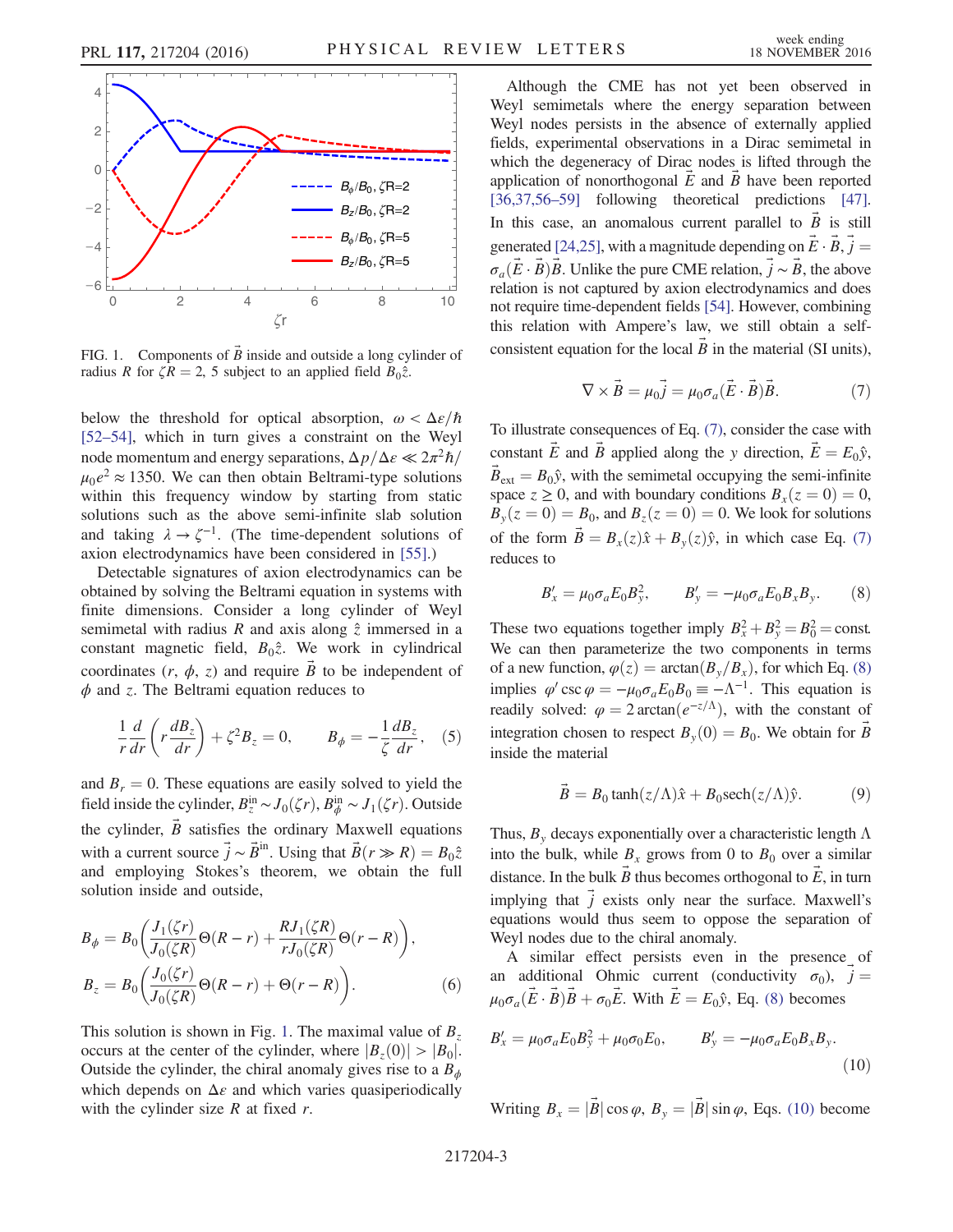<span id="page-2-0"></span>

FIG. 1. Components of  $\vec{B}$  inside and outside a long cylinder of radius R for  $\zeta R = 2$ , 5 subject to an applied field  $B_0\hat{z}$ .

below the threshold for optical absorption,  $\omega < \Delta \varepsilon / \hbar$ [\[52](#page-5-2)–54], which in turn gives a constraint on the Weyl node momentum and energy separations,  $\Delta p/\Delta \epsilon \ll 2\pi^2\hbar/$  $\mu_0 e^2 \approx 1350$ . We can then obtain Beltrami-type solutions within this frequency window by starting from static solutions such as the above semi-infinite slab solution and taking  $\lambda \to \zeta^{-1}$ . (The time-dependent solutions of axion electrodynamics have been considered in [\[55\]](#page-5-3).)

Detectable signatures of axion electrodynamics can be obtained by solving the Beltrami equation in systems with finite dimensions. Consider a long cylinder of Weyl semimetal with radius R and axis along  $\hat{z}$  immersed in a constant magnetic field,  $B_0\hat{z}$ . We work in cylindrical coordinates  $(r, \phi, z)$  and require B to be independent of  $\phi$  and z. The Beltrami equation reduces to

$$
\frac{1}{r}\frac{d}{dr}\left(r\frac{dB_z}{dr}\right) + \zeta^2 B_z = 0, \qquad B_\phi = -\frac{1}{\zeta}\frac{dB_z}{dr}, \quad (5)
$$

and  $B_r = 0$ . These equations are easily solved to yield the field inside the cylinder,  $B_z^{\text{in}} \sim J_0(\zeta r)$ ,  $B_{\phi}^{\text{in}} \sim J_1(\zeta r)$ . Outside the cylinder,  $\vec{B}$  satisfies the ordinary Maxwell equations with a current source  $\vec{j} \sim \vec{B}^{in}$ . Using that  $\vec{B}(r \gg R) = B_0 \hat{z}$ and employing Stokes's theorem, we obtain the full solution inside and outside,

<span id="page-2-5"></span>
$$
B_{\phi} = B_0 \left( \frac{J_1(\zeta r)}{J_0(\zeta R)} \Theta(R-r) + \frac{R J_1(\zeta R)}{r J_0(\zeta R)} \Theta(r-R) \right),
$$
  
\n
$$
B_z = B_0 \left( \frac{J_0(\zeta r)}{J_0(\zeta R)} \Theta(R-r) + \Theta(r-R) \right).
$$
 (6)

This solution is shown in Fig. [1.](#page-2-0) The maximal value of  $B_z$ occurs at the center of the cylinder, where  $|B_z(0)| > |B_0|$ . Outside the cylinder, the chiral anomaly gives rise to a  $B_{\phi}$ which depends on  $\Delta \varepsilon$  and which varies quasiperiodically with the cylinder size  $R$  at fixed  $r$ .

Although the CME has not yet been observed in Weyl semimetals where the energy separation between Weyl nodes persists in the absence of externally applied fields, experimental observations in a Dirac semimetal in which the degeneracy of Dirac nodes is lifted through the application of nonorthogonal  $E$  and  $\overline{B}$  have been reported [\[36,37,56](#page-4-18)–59] following theoretical predictions [\[47\]](#page-5-4). In this case, an anomalous current parallel to  $\vec{B}$  is still generated [\[24,25\]](#page-4-19), with a magnitude depending on  $\vec{E} \cdot \vec{B}$ ,  $\vec{j} =$  $\sigma_a(\vec{E}\cdot\vec{B})\vec{B}$ . Unlike the pure CME relation,  $\vec{j} \sim \vec{B}$ , the above relation is not captured by axion electrodynamics and does not require time-dependent fields [\[54\]](#page-5-5). However, combining this relation with Ampere's law, we still obtain a selfconsistent equation for the local  $\vec{B}$  in the material (SI units),

$$
\nabla \times \vec{B} = \mu_0 \vec{j} = \mu_0 \sigma_a (\vec{E} \cdot \vec{B}) \vec{B}.
$$
 (7)

<span id="page-2-1"></span>To illustrate consequences of Eq. [\(7\)](#page-2-1), consider the case with constant  $\vec{E}$  and  $\vec{B}$  applied along the y direction,  $\vec{E} = E_0 \hat{y}$ ,  $B_{ext} = B_0 \hat{y}$ , with the semimetal occupying the semi-infinite space  $z \ge 0$ , and with boundary conditions  $B_x(z = 0) = 0$ ,  $B_y(z=0) = B_0$ , and  $B_z(z=0) = 0$ . We look for solutions of the form  $\vec{B} = B_x(z)\hat{x} + B_y(z)\hat{y}$ , in which case Eq. [\(7\)](#page-2-1) reduces to

<span id="page-2-2"></span>
$$
B'_x = \mu_0 \sigma_a E_0 B_y^2, \qquad B'_y = -\mu_0 \sigma_a E_0 B_x B_y. \qquad (8)
$$

These two equations together imply  $B_x^2 + B_y^2 = B_0^2 = \text{const.}$ We can then parameterize the two components in terms of a new function,  $\varphi(z) = \arctan(B_y/B_x)$ , for which Eq. [\(8\)](#page-2-2) implies  $\varphi'$  csc  $\varphi = -\mu_0 \sigma_a E_0 B_0 \equiv -\Lambda^{-1}$ . This equation is readily solved:  $\varphi = 2 \arctan(e^{-z/\Lambda})$ , with the constant of integration chosen to respect  $B_y(0) = B_0$ . We obtain for  $\vec{B}$ inside the material

$$
\vec{B} = B_0 \tanh(z/\Lambda)\hat{x} + B_0 \text{sech}(z/\Lambda)\hat{y}.
$$
 (9)

Thus,  $B_y$  decays exponentially over a characteristic length  $\Lambda$ into the bulk, while  $B_x$  grows from 0 to  $B_0$  over a similar distance. In the bulk  $\vec{B}$  thus becomes orthogonal to  $\vec{E}$ , in turn implying that  $\vec{j}$  exists only near the surface. Maxwell's equations would thus seem to oppose the separation of Weyl nodes due to the chiral anomaly.

<span id="page-2-3"></span>A similar effect persists even in the presence of an additional Ohmic current (conductivity  $\sigma_0$ ),  $\vec{j}$  =  $\mu_0 \sigma_a(\vec{E} \cdot \vec{B}) \vec{B} + \sigma_0 \vec{E}$ . With  $\vec{E} = E_0 \hat{y}$ , Eq. [\(8\)](#page-2-2) becomes

<span id="page-2-4"></span>
$$
B'_x = \mu_0 \sigma_a E_0 B_y^2 + \mu_0 \sigma_0 E_0, \qquad B'_y = -\mu_0 \sigma_a E_0 B_x B_y.
$$
\n(10)

Writing  $B_x = |\vec{B}| \cos \varphi$ ,  $B_y = |\vec{B}| \sin \varphi$ , Eqs. [\(10\)](#page-2-3) become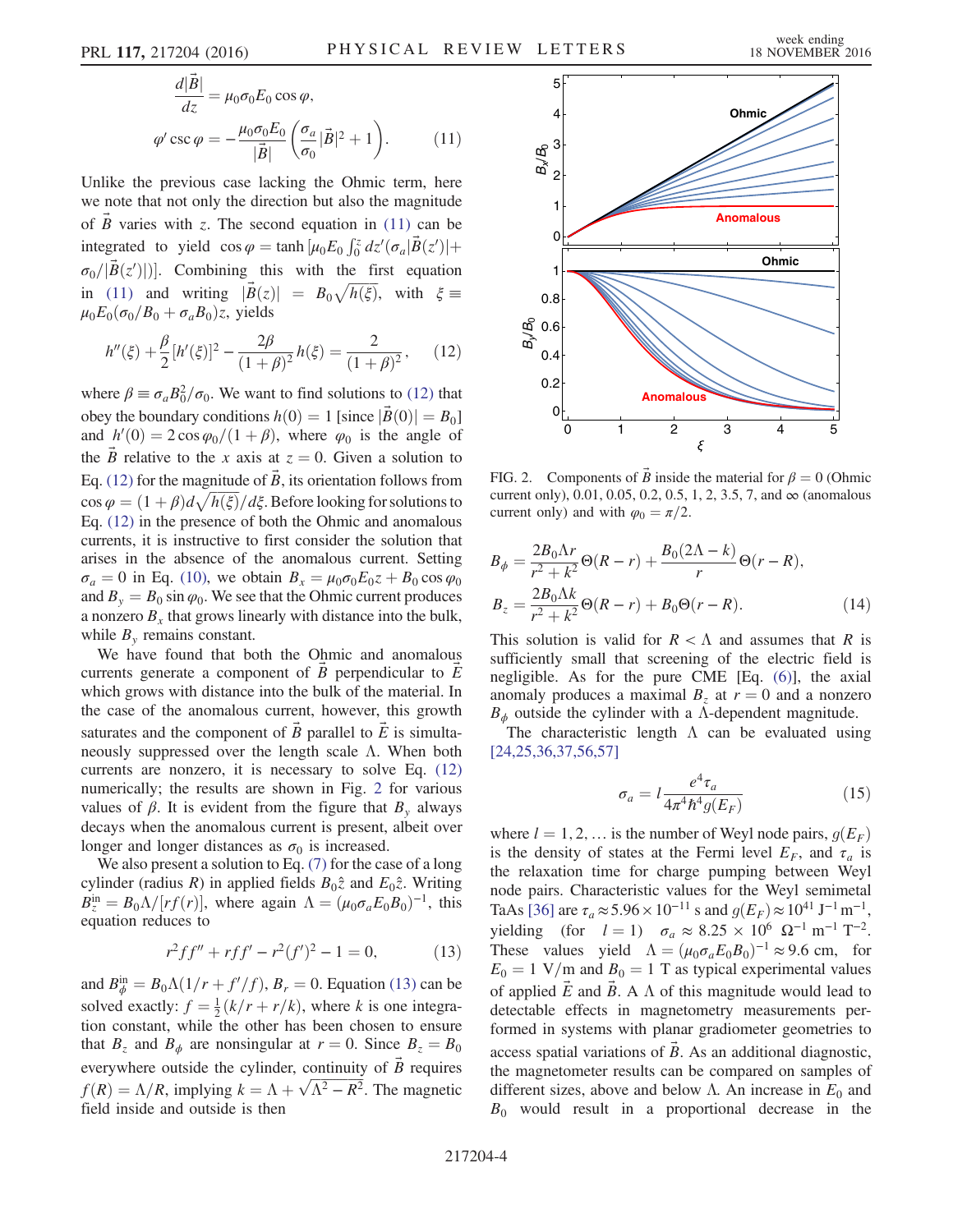$$
\frac{d|\vec{B}|}{dz} = \mu_0 \sigma_0 E_0 \cos \varphi,
$$
  

$$
\varphi' \csc \varphi = -\frac{\mu_0 \sigma_0 E_0}{|\vec{B}|} \left( \frac{\sigma_a}{\sigma_0} |\vec{B}|^2 + 1 \right).
$$
 (11)

Unlike the previous case lacking the Ohmic term, here we note that not only the direction but also the magnitude of  $\vec{B}$  varies with z. The second equation in [\(11\)](#page-2-4) can be integrated to yield  $\cos \varphi = \tanh \left[ \mu_0 E_0 \int_0^z dz' (\sigma_a | \vec{B}(z')| + \right]$  $\sigma_0/|\vec{B}(z')|$ ]. Combining this with the first equation in [\(11\)](#page-2-4) and writing  $|\vec{B}(z)| = B_0 \sqrt{h(\xi)}$ , with  $\xi \equiv$  $\mu_0 E_0(\sigma_0/B_0+\sigma_a B_0)z$ , yields

<span id="page-3-0"></span>
$$
h''(\xi) + \frac{\beta}{2} [h'(\xi)]^2 - \frac{2\beta}{(1+\beta)^2} h(\xi) = \frac{2}{(1+\beta)^2}, \quad (12)
$$

where  $\beta \equiv \sigma_a B_0^2/\sigma_0$ . We want to find solutions to [\(12\)](#page-3-0) that obey the boundary conditions  $h(0) = 1$  [since  $|B(0)| = B_0$ ] and  $h'(0) = 2 \cos \varphi_0/(1 + \beta)$ , where  $\varphi_0$  is the angle of the B relative to the x axis at  $z = 0$ . Given a solution to Eq. [\(12\)](#page-3-0) for the magnitude of  $\vec{B}$ , its orientation follows from  $\cos \varphi = (1 + \beta) d \sqrt{h(\xi)} / d \xi$ . Before looking for solutions to Eq. [\(12\)](#page-3-0) in the presence of both the Ohmic and anomalous currents, it is instructive to first consider the solution that arises in the absence of the anomalous current. Setting  $\sigma_a = 0$  in Eq. [\(10\),](#page-2-3) we obtain  $B_x = \mu_0 \sigma_0 E_0 z + B_0 \cos \varphi_0$ and  $B_y = B_0 \sin \varphi_0$ . We see that the Ohmic current produces a nonzero  $B_x$  that grows linearly with distance into the bulk, while  $B<sub>v</sub>$  remains constant.

We have found that both the Ohmic and anomalous currents generate a component of B perpendicular to  $E^$ which grows with distance into the bulk of the material. In the case of the anomalous current, however, this growth saturates and the component of  $\overline{B}$  parallel to  $\overline{E}$  is simultaneously suppressed over the length scale Λ. When both currents are nonzero, it is necessary to solve Eq. [\(12\)](#page-3-0) numerically; the results are shown in Fig. [2](#page-3-1) for various values of  $\beta$ . It is evident from the figure that  $B_{v}$  always decays when the anomalous current is present, albeit over longer and longer distances as  $\sigma_0$  is increased.

<span id="page-3-2"></span>We also present a solution to Eq. [\(7\)](#page-2-1) for the case of a long cylinder (radius R) in applied fields  $B_0\hat{z}$  and  $E_0\hat{z}$ . Writing  $B_z^{\text{in}} = B_0 \Lambda / [rf(r)]$ , where again  $\Lambda = (\mu_0 \sigma_a E_0 B_0)^{-1}$ , this equation reduces to

$$
r^2 f f'' + r f f' - r^2 (f')^2 - 1 = 0,
$$
 (13)

and  $B_{\phi}^{\text{in}} = B_0 \Lambda (1/r + f'/f), B_r = 0$ . Equation [\(13\)](#page-3-2) can be solved exactly:  $f = \frac{1}{2}(k/r + r/k)$ , where k is one integration constant, while the other has been chosen to ensure that  $B_z$  and  $B_{\phi}$  are nonsingular at  $r = 0$ . Since  $B_z = B_0$ everywhere outside the cylinder, continuity of  $\hat{B}$  requires  $f(R) = \Lambda/R$ , implying  $k = \Lambda + \sqrt{\Lambda^2 - R^2}$ . The magnetic field inside and outside is then

<span id="page-3-1"></span>

FIG. 2. Components of  $\vec{B}$  inside the material for  $\beta = 0$  (Ohmic current only), 0.01, 0.05, 0.2, 0.5, 1, 2, 3.5, 7, and  $\infty$  (anomalous current only) and with  $\varphi_0 = \pi/2$ .

$$
B_{\phi} = \frac{2B_0\Lambda r}{r^2 + k^2} \Theta(R - r) + \frac{B_0(2\Lambda - k)}{r} \Theta(r - R),
$$
  
\n
$$
B_z = \frac{2B_0\Lambda k}{r^2 + k^2} \Theta(R - r) + B_0 \Theta(r - R).
$$
\n(14)

This solution is valid for  $R < \Lambda$  and assumes that R is sufficiently small that screening of the electric field is negligible. As for the pure CME [Eq. [\(6\)\]](#page-2-5), the axial anomaly produces a maximal  $B_z$  at  $r = 0$  and a nonzero  $B_{\phi}$  outside the cylinder with a Λ-dependent magnitude.

<span id="page-3-3"></span>The characteristic length  $\Lambda$  can be evaluated using [\[24,25,36,37,56,57\]](#page-4-19)

$$
\sigma_a = l \frac{e^4 \tau_a}{4\pi^4 \hbar^4 g(E_F)}\tag{15}
$$

where  $l = 1, 2, \dots$  is the number of Weyl node pairs,  $q(E_F)$ is the density of states at the Fermi level  $E_F$ , and  $\tau_a$  is the relaxation time for charge pumping between Weyl node pairs. Characteristic values for the Weyl semimetal TaAs [\[36\]](#page-4-18) are  $\tau_a \approx 5.96 \times 10^{-11}$  s and  $g(E_F) \approx 10^{41}$  J<sup>-1</sup> m<sup>-1</sup>, yielding (for  $l = 1$ )  $\sigma_a \approx 8.25 \times 10^6 \Omega^{-1} \text{ m}^{-1} \text{ T}^{-2}$ . These values yield  $\Lambda = (\mu_0 \sigma_a E_0 B_0)^{-1} \approx 9.6$  cm, for  $E_0 = 1$  V/m and  $B_0 = 1$  T as typical experimental values of applied  $\vec{E}$  and  $\vec{B}$ . A  $\Lambda$  of this magnitude would lead to detectable effects in magnetometry measurements performed in systems with planar gradiometer geometries to access spatial variations of  $\vec{B}$ . As an additional diagnostic, the magnetometer results can be compared on samples of different sizes, above and below Λ. An increase in  $E_0$  and  $B_0$  would result in a proportional decrease in the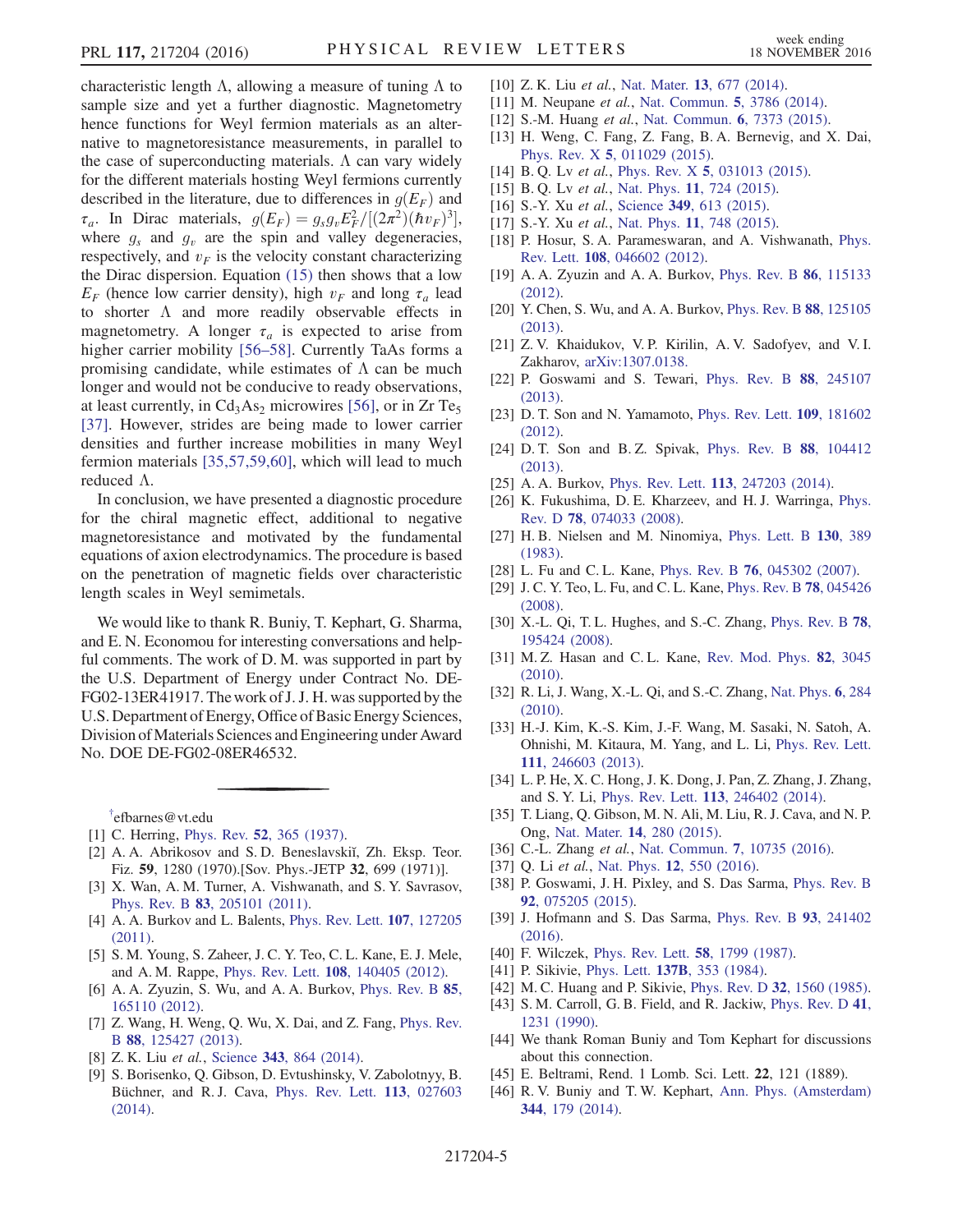characteristic length  $\Lambda$ , allowing a measure of tuning  $\Lambda$  to sample size and yet a further diagnostic. Magnetometry hence functions for Weyl fermion materials as an alternative to magnetoresistance measurements, in parallel to the case of superconducting materials.  $\Lambda$  can vary widely for the different materials hosting Weyl fermions currently described in the literature, due to differences in  $g(E_F)$  and  $\tau_a$ . In Dirac materials,  $g(E_F) = g_s g_v E_F^2 / [(2\pi^2)(\hbar v_F)^3]$ , where  $g_s$  and  $g_v$  are the spin and valley degeneracies, respectively, and  $v_F$  is the velocity constant characterizing the Dirac dispersion. Equation [\(15\)](#page-3-3) then shows that a low  $E_F$  (hence low carrier density), high  $v_F$  and long  $\tau_a$  lead to shorter Λ and more readily observable effects in magnetometry. A longer  $\tau_a$  is expected to arise from higher carrier mobility [\[56](#page-5-6)–58]. Currently TaAs forms a promising candidate, while estimates of  $\Lambda$  can be much longer and would not be conducive to ready observations, at least currently, in  $Cd<sub>3</sub>As<sub>2</sub>$  microwires [\[56\]](#page-5-6), or in Zr Te<sub>5</sub> [\[37\].](#page-4-20) However, strides are being made to lower carrier densities and further increase mobilities in many Weyl fermion materials [\[35,57,59,60\],](#page-4-21) which will lead to much reduced Λ.

In conclusion, we have presented a diagnostic procedure for the chiral magnetic effect, additional to negative magnetoresistance and motivated by the fundamental equations of axion electrodynamics. The procedure is based on the penetration of magnetic fields over characteristic length scales in Weyl semimetals.

We would like to thank R. Buniy, T. Kephart, G. Sharma, and E. N. Economou for interesting conversations and helpful comments. The work of D. M. was supported in part by the U.S. Department of Energy under Contract No. DE-FG02-13ER41917. The work of J. J. H. was supported by the U.S. Department of Energy, Office of Basic Energy Sciences, Division ofMaterials Sciences and Engineering under Award No. DOE DE-FG02-08ER46532.

<span id="page-4-0"></span>[†](#page-0-1) efbarnes@vt.edu

- <span id="page-4-1"></span>[1] C. Herring, Phys. Rev. **52**[, 365 \(1937\).](http://dx.doi.org/10.1103/PhysRev.52.365)
- [2] A. A. Abrikosov and S. D. Beneslavskiı̆, Zh. Eksp. Teor. Fiz. 59, 1280 (1970).[Sov. Phys.-JETP 32, 699 (1971)].
- <span id="page-4-2"></span>[3] X. Wan, A. M. Turner, A. Vishwanath, and S. Y. Savrasov, Phys. Rev. B 83[, 205101 \(2011\).](http://dx.doi.org/10.1103/PhysRevB.83.205101)
- [4] A. A. Burkov and L. Balents, *[Phys. Rev. Lett.](http://dx.doi.org/10.1103/PhysRevLett.107.127205)* **107**, 127205 [\(2011\).](http://dx.doi.org/10.1103/PhysRevLett.107.127205)
- [5] S. M. Young, S. Zaheer, J. C. Y. Teo, C. L. Kane, E. J. Mele, and A. M. Rappe, Phys. Rev. Lett. 108[, 140405 \(2012\).](http://dx.doi.org/10.1103/PhysRevLett.108.140405)
- [6] A. A. Zyuzin, S. Wu, and A. A. Burkov, [Phys. Rev. B](http://dx.doi.org/10.1103/PhysRevB.85.165110) 85, [165110 \(2012\).](http://dx.doi.org/10.1103/PhysRevB.85.165110)
- <span id="page-4-3"></span>[7] Z. Wang, H. Weng, Q. Wu, X. Dai, and Z. Fang, *[Phys. Rev.](http://dx.doi.org/10.1103/PhysRevB.88.125427)* <sup>B</sup> 88[, 125427 \(2013\).](http://dx.doi.org/10.1103/PhysRevB.88.125427)
- [8] Z. K. Liu *et al.*, Science 343[, 864 \(2014\)](http://dx.doi.org/10.1126/science.1245085).
- [9] S. Borisenko, Q. Gibson, D. Evtushinsky, V. Zabolotnyy, B. Büchner, and R. J. Cava, [Phys. Rev. Lett.](http://dx.doi.org/10.1103/PhysRevLett.113.027603) 113, 027603 [\(2014\).](http://dx.doi.org/10.1103/PhysRevLett.113.027603)
- [10] Z. K. Liu et al., Nat. Mater. 13[, 677 \(2014\)](http://dx.doi.org/10.1038/nmat3990).
- [11] M. Neupane et al., [Nat. Commun.](http://dx.doi.org/10.1038/ncomms4786) 5, 3786 (2014).
- <span id="page-4-4"></span>[12] S.-M. Huang et al., [Nat. Commun.](http://dx.doi.org/10.1038/ncomms8373) 6, 7373 (2015).
- [13] H. Weng, C. Fang, Z. Fang, B. A. Bernevig, and X. Dai, Phys. Rev. X 5[, 011029 \(2015\).](http://dx.doi.org/10.1103/PhysRevX.5.011029)
- [14] B. Q. Lv et al., Phys. Rev. X 5[, 031013 \(2015\)](http://dx.doi.org/10.1103/PhysRevX.5.031013).
- [15] B. Q. Lv et al., Nat. Phys. 11[, 724 \(2015\).](http://dx.doi.org/10.1038/nphys3426)
- [16] S.-Y. Xu et al., Science 349[, 613 \(2015\)](http://dx.doi.org/10.1126/science.aaa9297).
- [17] S.-Y. Xu et al., Nat. Phys. 11[, 748 \(2015\).](http://dx.doi.org/10.1038/nphys3437)
- [18] P. Hosur, S. A. Parameswaran, and A. Vishwanath, [Phys.](http://dx.doi.org/10.1103/PhysRevLett.108.046602) Rev. Lett. 108[, 046602 \(2012\).](http://dx.doi.org/10.1103/PhysRevLett.108.046602)
- <span id="page-4-5"></span>[19] A. A. Zyuzin and A. A. Burkov, [Phys. Rev. B](http://dx.doi.org/10.1103/PhysRevB.86.115133) 86, 115133 [\(2012\).](http://dx.doi.org/10.1103/PhysRevB.86.115133)
- <span id="page-4-17"></span>[20] Y. Chen, S. Wu, and A. A. Burkov, [Phys. Rev. B](http://dx.doi.org/10.1103/PhysRevB.88.125105) 88, 125105 [\(2013\).](http://dx.doi.org/10.1103/PhysRevB.88.125105)
- <span id="page-4-15"></span>[21] Z. V. Khaidukov, V. P. Kirilin, A. V. Sadofyev, and V. I. Zakharov, [arXiv:1307.0138.](http://arXiv.org/abs/1307.0138)
- <span id="page-4-13"></span>[22] P. Goswami and S. Tewari, [Phys. Rev. B](http://dx.doi.org/10.1103/PhysRevB.88.245107) 88, 245107 [\(2013\).](http://dx.doi.org/10.1103/PhysRevB.88.245107)
- <span id="page-4-6"></span>[23] D. T. Son and N. Yamamoto, [Phys. Rev. Lett.](http://dx.doi.org/10.1103/PhysRevLett.109.181602) **109**, 181602 [\(2012\).](http://dx.doi.org/10.1103/PhysRevLett.109.181602)
- <span id="page-4-19"></span>[24] D. T. Son and B. Z. Spivak, [Phys. Rev. B](http://dx.doi.org/10.1103/PhysRevB.88.104412) 88, 104412 [\(2013\).](http://dx.doi.org/10.1103/PhysRevB.88.104412)
- <span id="page-4-7"></span>[25] A. A. Burkov, Phys. Rev. Lett. **113**[, 247203 \(2014\).](http://dx.doi.org/10.1103/PhysRevLett.113.247203)
- [26] K. Fukushima, D. E. Kharzeev, and H. J. Warringa, [Phys.](http://dx.doi.org/10.1103/PhysRevD.78.074033) Rev. D 78[, 074033 \(2008\)](http://dx.doi.org/10.1103/PhysRevD.78.074033).
- <span id="page-4-16"></span>[27] H. B. Nielsen and M. Ninomiya, [Phys. Lett. B](http://dx.doi.org/10.1016/0370-2693(83)91529-0) 130, 389 [\(1983\).](http://dx.doi.org/10.1016/0370-2693(83)91529-0)
- <span id="page-4-8"></span>[28] L. Fu and C. L. Kane, Phys. Rev. B **76**[, 045302 \(2007\)](http://dx.doi.org/10.1103/PhysRevB.76.045302).
- [29] J. C. Y. Teo, L. Fu, and C. L. Kane, [Phys. Rev. B](http://dx.doi.org/10.1103/PhysRevB.78.045426) 78, 045426 [\(2008\).](http://dx.doi.org/10.1103/PhysRevB.78.045426)
- [30] X.-L. Qi, T. L. Hughes, and S.-C. Zhang, [Phys. Rev. B](http://dx.doi.org/10.1103/PhysRevB.78.195424) 78, [195424 \(2008\).](http://dx.doi.org/10.1103/PhysRevB.78.195424)
- [31] M. Z. Hasan and C. L. Kane, [Rev. Mod. Phys.](http://dx.doi.org/10.1103/RevModPhys.82.3045) 82, 3045 [\(2010\).](http://dx.doi.org/10.1103/RevModPhys.82.3045)
- [32] R. Li, J. Wang, X.-L. Qi, and S.-C. Zhang, [Nat. Phys.](http://dx.doi.org/10.1038/nphys1534) 6, 284 [\(2010\).](http://dx.doi.org/10.1038/nphys1534)
- [33] H.-J. Kim, K.-S. Kim, J.-F. Wang, M. Sasaki, N. Satoh, A. Ohnishi, M. Kitaura, M. Yang, and L. Li, [Phys. Rev. Lett.](http://dx.doi.org/10.1103/PhysRevLett.111.246603) <sup>111</sup>[, 246603 \(2013\).](http://dx.doi.org/10.1103/PhysRevLett.111.246603)
- <span id="page-4-9"></span>[34] L. P. He, X. C. Hong, J. K. Dong, J. Pan, Z. Zhang, J. Zhang, and S. Y. Li, Phys. Rev. Lett. 113[, 246402 \(2014\).](http://dx.doi.org/10.1103/PhysRevLett.113.246402)
- <span id="page-4-21"></span>[35] T. Liang, Q. Gibson, M. N. Ali, M. Liu, R. J. Cava, and N. P. Ong, Nat. Mater. 14[, 280 \(2015\).](http://dx.doi.org/10.1038/nmat4143)
- <span id="page-4-20"></span><span id="page-4-18"></span>[36] C.-L. Zhang et al., Nat. Commun. 7[, 10735 \(2016\).](http://dx.doi.org/10.1038/ncomms10735)
- <span id="page-4-10"></span>[37] Q. Li et al., Nat. Phys. **12**[, 550 \(2016\).](http://dx.doi.org/10.1038/nphys3648)
- <span id="page-4-11"></span>[38] P. Goswami, J. H. Pixley, and S. Das Sarma, [Phys. Rev. B](http://dx.doi.org/10.1103/PhysRevB.92.075205) 92[, 075205 \(2015\).](http://dx.doi.org/10.1103/PhysRevB.92.075205)
- <span id="page-4-12"></span>[39] J. Hofmann and S. Das Sarma, [Phys. Rev. B](http://dx.doi.org/10.1103/PhysRevB.93.241402) 93, 241402 [\(2016\).](http://dx.doi.org/10.1103/PhysRevB.93.241402)
- [40] F. Wilczek, [Phys. Rev. Lett.](http://dx.doi.org/10.1103/PhysRevLett.58.1799) **58**, 1799 (1987).
- [41] P. Sikivie, Phys. Lett. **137B**[, 353 \(1984\).](http://dx.doi.org/10.1016/0370-2693(84)91731-3)
- [42] M. C. Huang and P. Sikivie, Phys. Rev. D 32[, 1560 \(1985\).](http://dx.doi.org/10.1103/PhysRevD.32.1560)
- <span id="page-4-14"></span>[43] S. M. Carroll, G. B. Field, and R. Jackiw, [Phys. Rev. D](http://dx.doi.org/10.1103/PhysRevD.41.1231) 41, [1231 \(1990\)](http://dx.doi.org/10.1103/PhysRevD.41.1231).
- [44] We thank Roman Buniy and Tom Kephart for discussions about this connection.
- [45] E. Beltrami, Rend. 1 Lomb. Sci. Lett. 22, 121 (1889).
- [46] R. V. Buniy and T. W. Kephart, [Ann. Phys. \(Amsterdam\)](http://dx.doi.org/10.1016/j.aop.2014.02.014) 344[, 179 \(2014\)](http://dx.doi.org/10.1016/j.aop.2014.02.014).